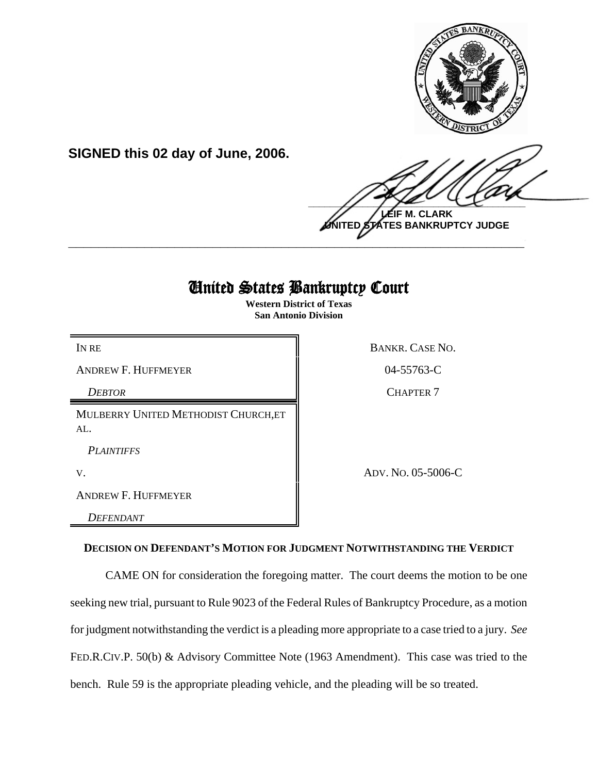

**SIGNED this 02 day of June, 2006.**

 $\frac{1}{2}$ **LEIF M. CLARK**

**UNITED STATES BANKRUPTCY JUDGE \_\_\_\_\_\_\_\_\_\_\_\_\_\_\_\_\_\_\_\_\_\_\_\_\_\_\_\_\_\_\_\_\_\_\_\_\_\_\_\_\_\_\_\_\_\_\_\_\_\_\_\_\_\_\_\_\_\_\_\_**

# United States Bankruptcy Court

**Western District of Texas San Antonio Division**

ANDREW F. HUFFMEYER **COMPUTER** 204-55763-C

*DEBTOR* CHAPTER 7

MULBERRY UNITED METHODIST CHURCH,ET AL.

*PLAINTIFFS* 

ANDREW F. HUFFMEYER

*DEFENDANT* 

IN RE BANKR. CASE NO.

V. ADV. NO. 05-5006-C

## **DECISION ON DEFENDANT'S MOTION FOR JUDGMENT NOTWITHSTANDING THE VERDICT**

CAME ON for consideration the foregoing matter. The court deems the motion to be one seeking new trial, pursuant to Rule 9023 of the Federal Rules of Bankruptcy Procedure, as a motion for judgment notwithstanding the verdict is a pleading more appropriate to a case tried to a jury. *See* FED.R.CIV.P. 50(b) & Advisory Committee Note (1963 Amendment). This case was tried to the bench. Rule 59 is the appropriate pleading vehicle, and the pleading will be so treated.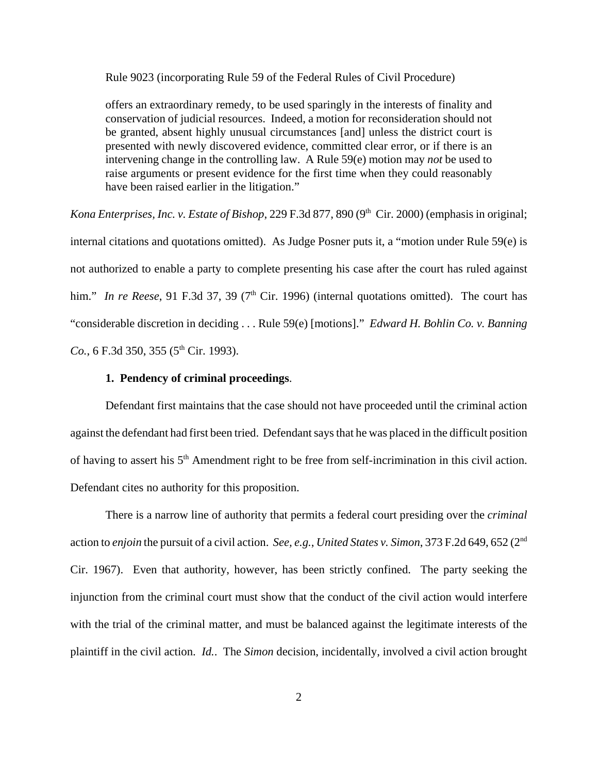Rule 9023 (incorporating Rule 59 of the Federal Rules of Civil Procedure)

offers an extraordinary remedy, to be used sparingly in the interests of finality and conservation of judicial resources. Indeed, a motion for reconsideration should not be granted, absent highly unusual circumstances [and] unless the district court is presented with newly discovered evidence, committed clear error, or if there is an intervening change in the controlling law. A Rule 59(e) motion may *not* be used to raise arguments or present evidence for the first time when they could reasonably have been raised earlier in the litigation."

*Kona Enterprises, Inc. v. Estate of Bishop, 229 F.3d 877, 890 (9<sup>th</sup> Cir. 2000) (emphasis in original;* internal citations and quotations omitted). As Judge Posner puts it, a "motion under Rule 59(e) is not authorized to enable a party to complete presenting his case after the court has ruled against him." *In re Reese*, 91 F.3d 37, 39 (7<sup>th</sup> Cir. 1996) (internal quotations omitted). The court has "considerable discretion in deciding . . . Rule 59(e) [motions]." *Edward H. Bohlin Co. v. Banning*  $Co., 6$  F.3d 350, 355 (5<sup>th</sup> Cir. 1993).

#### **1. Pendency of criminal proceedings**.

Defendant first maintains that the case should not have proceeded until the criminal action against the defendant had first been tried. Defendant says that he was placed in the difficult position of having to assert his 5<sup>th</sup> Amendment right to be free from self-incrimination in this civil action. Defendant cites no authority for this proposition.

There is a narrow line of authority that permits a federal court presiding over the *criminal* action to *enjoin* the pursuit of a civil action. *See, e.g.*, *United States v. Simon*, 373 F.2d 649, 652 (2nd Cir. 1967). Even that authority, however, has been strictly confined. The party seeking the injunction from the criminal court must show that the conduct of the civil action would interfere with the trial of the criminal matter, and must be balanced against the legitimate interests of the plaintiff in the civil action. *Id.*. The *Simon* decision, incidentally, involved a civil action brought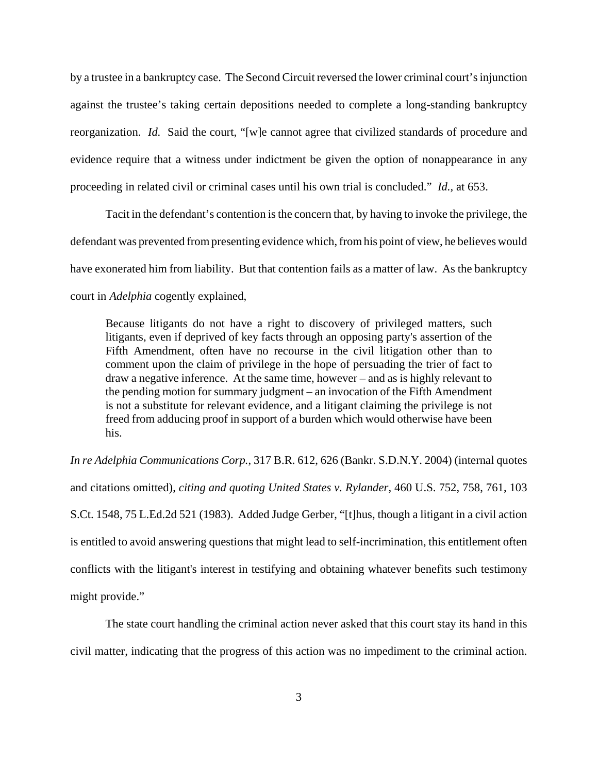by a trustee in a bankruptcy case. The Second Circuit reversed the lower criminal court's injunction against the trustee's taking certain depositions needed to complete a long-standing bankruptcy reorganization. *Id.* Said the court, "[w]e cannot agree that civilized standards of procedure and evidence require that a witness under indictment be given the option of nonappearance in any proceeding in related civil or criminal cases until his own trial is concluded." *Id.,* at 653.

Tacit in the defendant's contention is the concern that, by having to invoke the privilege, the defendant was prevented from presenting evidence which, from his point of view, he believes would have exonerated him from liability. But that contention fails as a matter of law. As the bankruptcy court in *Adelphia* cogently explained,

Because litigants do not have a right to discovery of privileged matters, such litigants, even if deprived of key facts through an opposing party's assertion of the Fifth Amendment, often have no recourse in the civil litigation other than to comment upon the claim of privilege in the hope of persuading the trier of fact to draw a negative inference. At the same time, however – and as is highly relevant to the pending motion for summary judgment – an invocation of the Fifth Amendment is not a substitute for relevant evidence, and a litigant claiming the privilege is not freed from adducing proof in support of a burden which would otherwise have been his.

*In re Adelphia Communications Corp.*, 317 B.R. 612, 626 (Bankr. S.D.N.Y. 2004) (internal quotes and citations omitted), *citing and quoting United States v. Rylander*, 460 U.S. 752, 758, 761, 103 S.Ct. 1548, 75 L.Ed.2d 521 (1983). Added Judge Gerber, "[t]hus, though a litigant in a civil action is entitled to avoid answering questions that might lead to self-incrimination, this entitlement often conflicts with the litigant's interest in testifying and obtaining whatever benefits such testimony might provide."

The state court handling the criminal action never asked that this court stay its hand in this civil matter, indicating that the progress of this action was no impediment to the criminal action.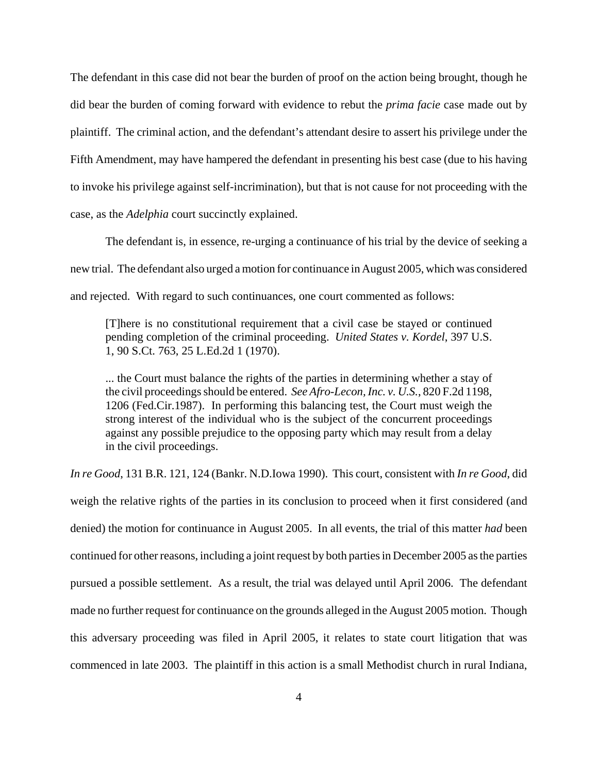The defendant in this case did not bear the burden of proof on the action being brought, though he did bear the burden of coming forward with evidence to rebut the *prima facie* case made out by plaintiff. The criminal action, and the defendant's attendant desire to assert his privilege under the Fifth Amendment, may have hampered the defendant in presenting his best case (due to his having to invoke his privilege against self-incrimination), but that is not cause for not proceeding with the case, as the *Adelphia* court succinctly explained.

The defendant is, in essence, re-urging a continuance of his trial by the device of seeking a new trial. The defendant also urged a motion for continuance in August 2005, which was considered and rejected. With regard to such continuances, one court commented as follows:

[T]here is no constitutional requirement that a civil case be stayed or continued pending completion of the criminal proceeding. *United States v. Kordel*, 397 U.S. 1, 90 S.Ct. 763, 25 L.Ed.2d 1 (1970).

... the Court must balance the rights of the parties in determining whether a stay of the civil proceedings should be entered. *See Afro-Lecon, Inc. v. U.S.*, 820 F.2d 1198, 1206 (Fed.Cir.1987). In performing this balancing test, the Court must weigh the strong interest of the individual who is the subject of the concurrent proceedings against any possible prejudice to the opposing party which may result from a delay in the civil proceedings.

*In re Good*, 131 B.R. 121, 124 (Bankr. N.D.Iowa 1990). This court, consistent with *In re Good*, did weigh the relative rights of the parties in its conclusion to proceed when it first considered (and denied) the motion for continuance in August 2005. In all events, the trial of this matter *had* been continued for other reasons, including a joint request by both parties in December 2005 as the parties pursued a possible settlement. As a result, the trial was delayed until April 2006. The defendant made no further request for continuance on the grounds alleged in the August 2005 motion. Though this adversary proceeding was filed in April 2005, it relates to state court litigation that was commenced in late 2003. The plaintiff in this action is a small Methodist church in rural Indiana,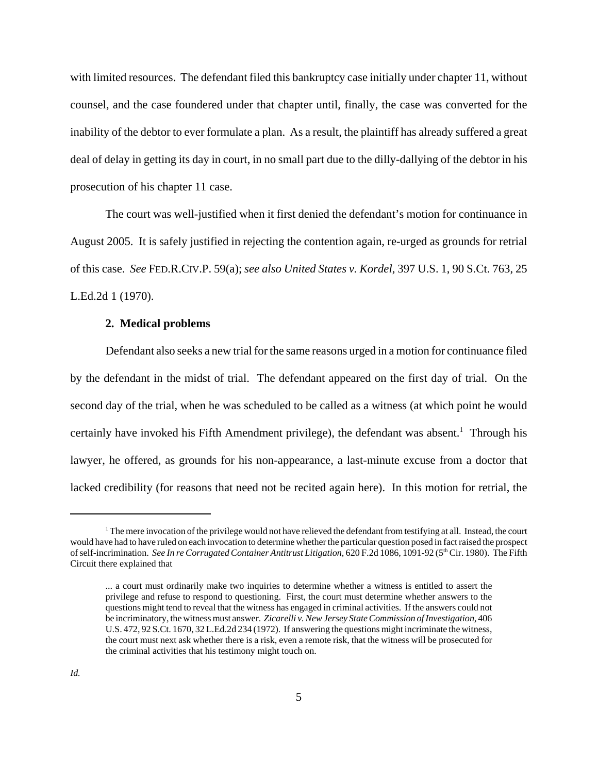with limited resources. The defendant filed this bankruptcy case initially under chapter 11, without counsel, and the case foundered under that chapter until, finally, the case was converted for the inability of the debtor to ever formulate a plan. As a result, the plaintiff has already suffered a great deal of delay in getting its day in court, in no small part due to the dilly-dallying of the debtor in his prosecution of his chapter 11 case.

The court was well-justified when it first denied the defendant's motion for continuance in August 2005. It is safely justified in rejecting the contention again, re-urged as grounds for retrial of this case. *See* FED.R.CIV.P. 59(a); *see also United States v. Kordel*, 397 U.S. 1, 90 S.Ct. 763, 25 L.Ed.2d 1 (1970).

#### **2. Medical problems**

Defendant also seeks a new trial for the same reasons urged in a motion for continuance filed by the defendant in the midst of trial. The defendant appeared on the first day of trial. On the second day of the trial, when he was scheduled to be called as a witness (at which point he would certainly have invoked his Fifth Amendment privilege), the defendant was absent.<sup>1</sup> Through his lawyer, he offered, as grounds for his non-appearance, a last-minute excuse from a doctor that lacked credibility (for reasons that need not be recited again here). In this motion for retrial, the

<sup>&</sup>lt;sup>1</sup> The mere invocation of the privilege would not have relieved the defendant from testifying at all. Instead, the court would have had to have ruled on each invocation to determine whether the particular question posed in fact raised the prospect of self-incrimination. *See In re Corrugated Container Antitrust Litigation*, 620 F.2d 1086, 1091-92 (5<sup>th</sup> Cir. 1980). The Fifth Circuit there explained that

<sup>...</sup> a court must ordinarily make two inquiries to determine whether a witness is entitled to assert the privilege and refuse to respond to questioning. First, the court must determine whether answers to the questions might tend to reveal that the witness has engaged in criminal activities. If the answers could not be incriminatory, the witness must answer. *Zicarelli v. New Jersey State Commission of Investigation*, 406 U.S. 472, 92 S.Ct. 1670, 32 L.Ed.2d 234 (1972). If answering the questions might incriminate the witness, the court must next ask whether there is a risk, even a remote risk, that the witness will be prosecuted for the criminal activities that his testimony might touch on.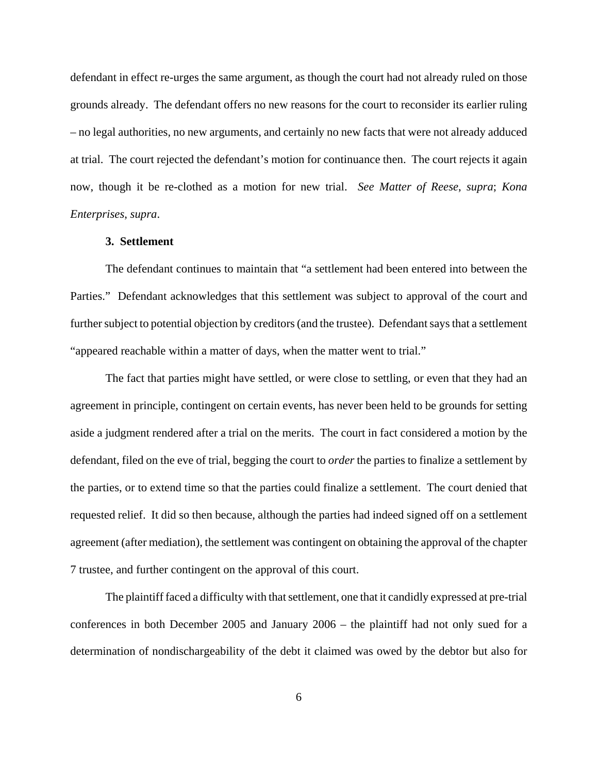defendant in effect re-urges the same argument, as though the court had not already ruled on those grounds already. The defendant offers no new reasons for the court to reconsider its earlier ruling – no legal authorities, no new arguments, and certainly no new facts that were not already adduced at trial. The court rejected the defendant's motion for continuance then. The court rejects it again now, though it be re-clothed as a motion for new trial. *See Matter of Reese*, *supra*; *Kona Enterprises*, *supra*.

#### **3. Settlement**

The defendant continues to maintain that "a settlement had been entered into between the Parties." Defendant acknowledges that this settlement was subject to approval of the court and further subject to potential objection by creditors (and the trustee). Defendant says that a settlement "appeared reachable within a matter of days, when the matter went to trial."

The fact that parties might have settled, or were close to settling, or even that they had an agreement in principle, contingent on certain events, has never been held to be grounds for setting aside a judgment rendered after a trial on the merits. The court in fact considered a motion by the defendant, filed on the eve of trial, begging the court to *order* the parties to finalize a settlement by the parties, or to extend time so that the parties could finalize a settlement. The court denied that requested relief. It did so then because, although the parties had indeed signed off on a settlement agreement (after mediation), the settlement was contingent on obtaining the approval of the chapter 7 trustee, and further contingent on the approval of this court.

The plaintiff faced a difficulty with that settlement, one that it candidly expressed at pre-trial conferences in both December 2005 and January 2006 – the plaintiff had not only sued for a determination of nondischargeability of the debt it claimed was owed by the debtor but also for